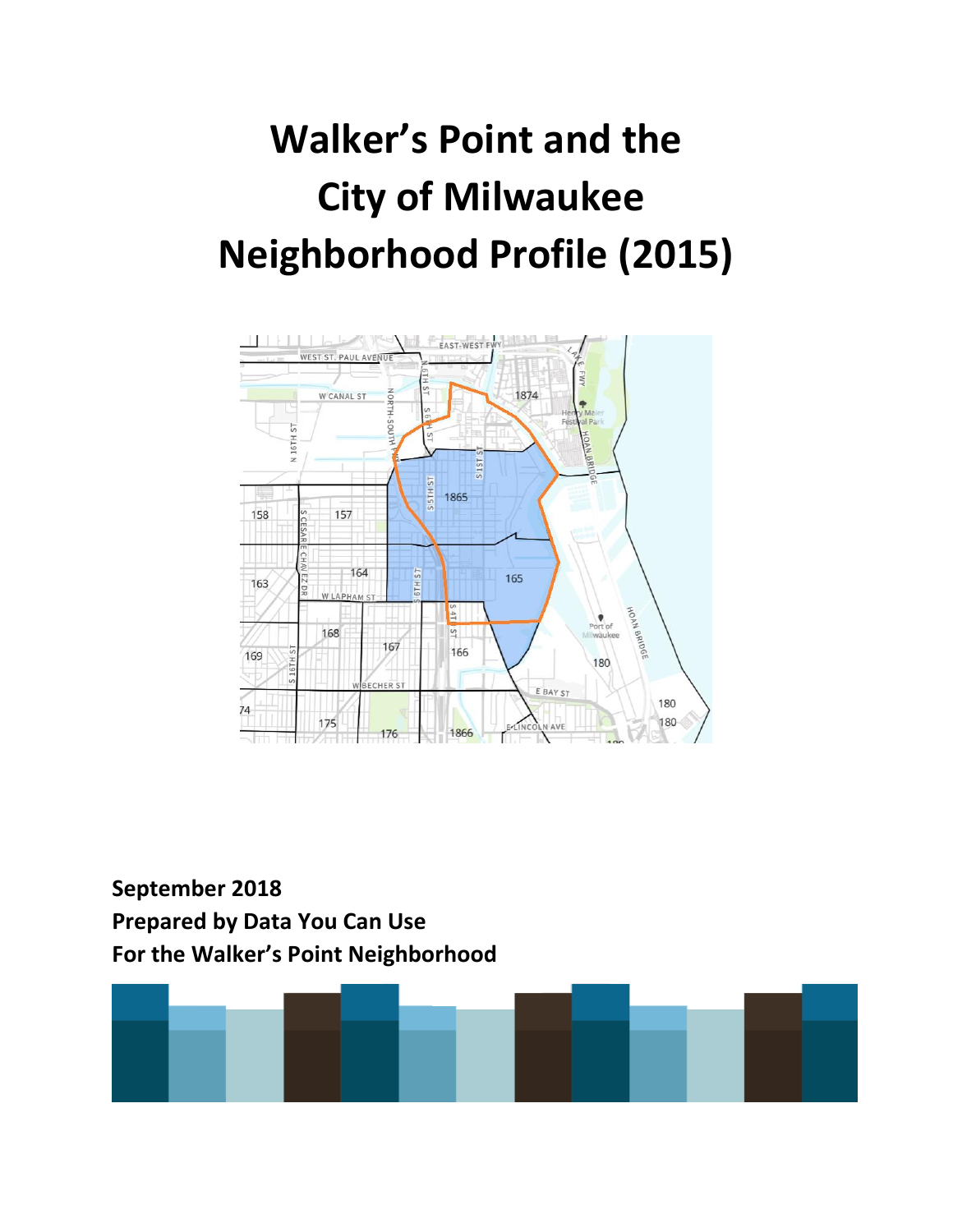# **Walker's Point and the City of Milwaukee Neighborhood Profile (2015)**



## **September 2018 Prepared by Data You Can Use For the Walker's Point Neighborhood**

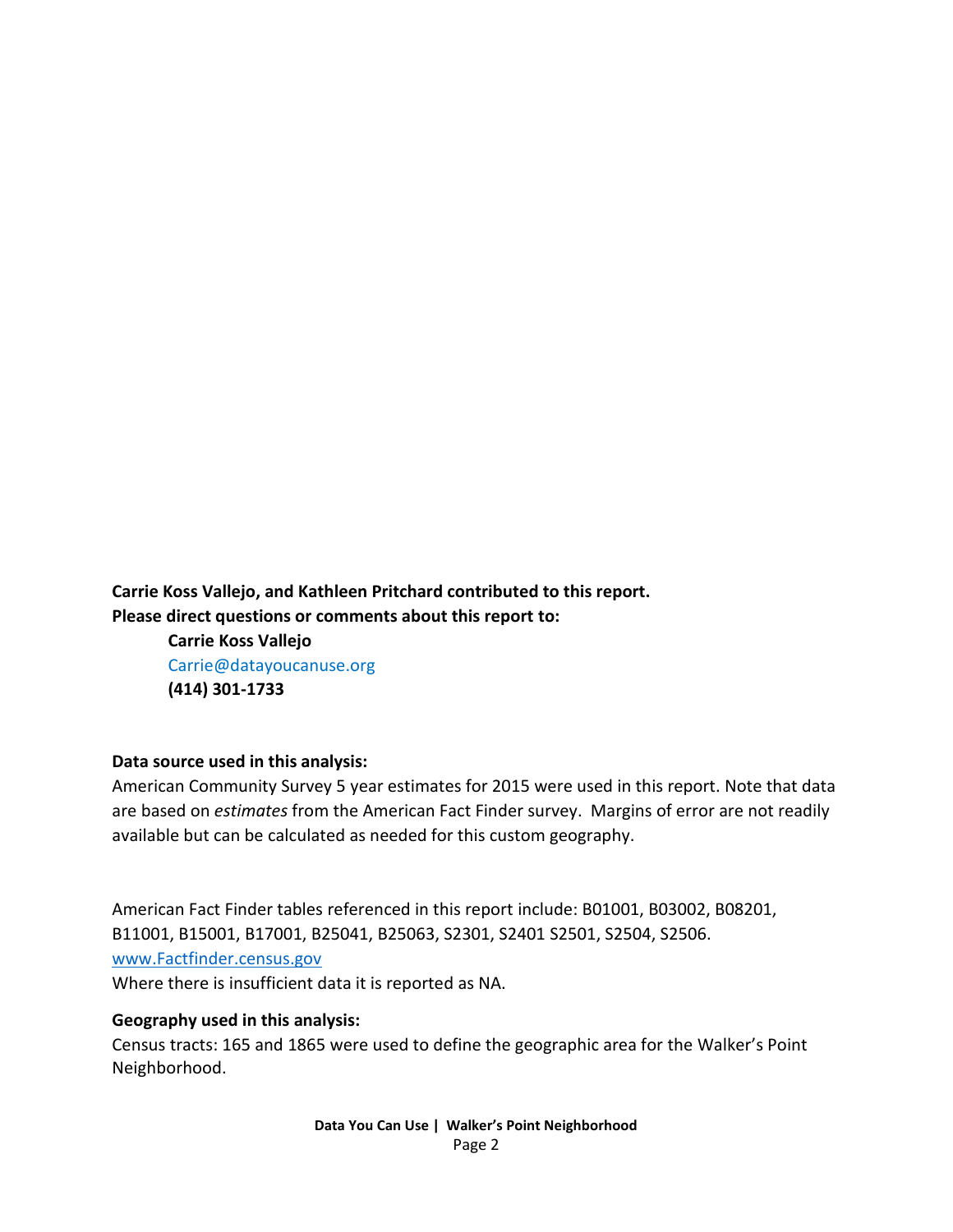**Carrie Koss Vallejo, and Kathleen Pritchard contributed to this report. Please direct questions or comments about this report to:**

> **Carrie Koss Vallejo** Carrie@datayoucanuse.org **(414) 301-1733**

#### **Data source used in this analysis:**

American Community Survey 5 year estimates for 2015 were used in this report. Note that data are based on *estimates* from the American Fact Finder survey. Margins of error are not readily available but can be calculated as needed for this custom geography.

American Fact Finder tables referenced in this report include: B01001, B03002, B08201, B11001, B15001, B17001, B25041, B25063, S2301, S2401 S2501, S2504, S2506. [www.Factfinder.census.gov](http://www.factfinder.census.gov/)  Where there is insufficient data it is reported as NA.

#### **Geography used in this analysis:**

Census tracts: 165 and 1865 were used to define the geographic area for the Walker's Point Neighborhood.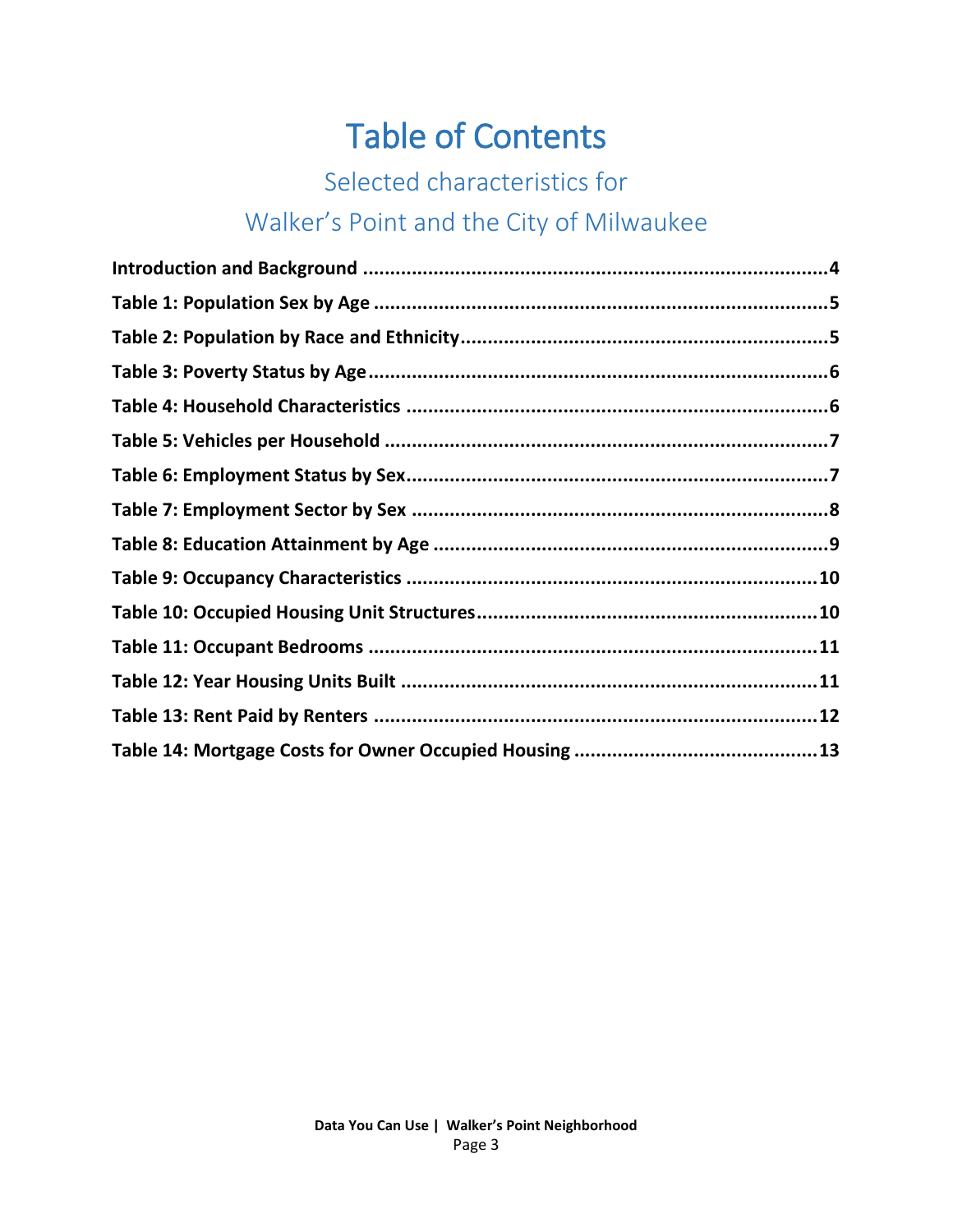## Table of Contents

## Selected characteristics for

## Walker's Point and the City of Milwaukee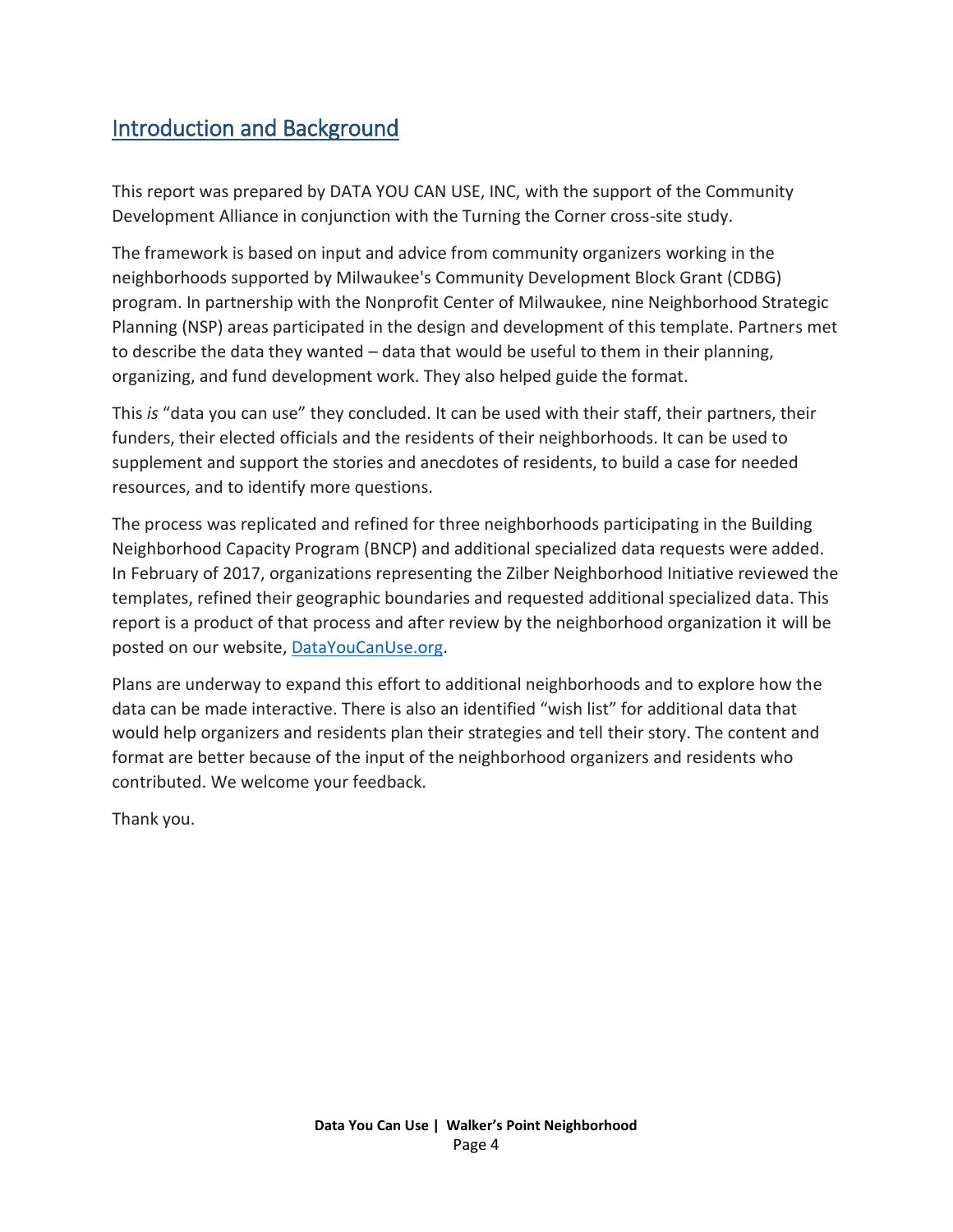## Introduction and Background

This report was prepared by DATA YOU CAN USE, INC, with the support of the Community Development Alliance in conjunction with the Turning the Corner cross-site study.

The framework is based on input and advice from community organizers working in the neighborhoods supported by Milwaukee's Community Development Block Grant (CDBG) program. In partnership with the Nonprofit Center of Milwaukee, nine Neighborhood Strategic Planning (NSP) areas participated in the design and development of this template. Partners met to describe the data they wanted – data that would be useful to them in their planning, organizing, and fund development work. They also helped guide the format.

This *is* "data you can use" they concluded. It can be used with their staff, their partners, their funders, their elected officials and the residents of their neighborhoods. It can be used to supplement and support the stories and anecdotes of residents, to build a case for needed resources, and to identify more questions.

The process was replicated and refined for three neighborhoods participating in the Building Neighborhood Capacity Program (BNCP) and additional specialized data requests were added. In February of 2017, organizations representing the Zilber Neighborhood Initiative reviewed the templates, refined their geographic boundaries and requested additional specialized data. This report is a product of that process and after review by the neighborhood organization it will be posted on our website, [DataYouCanUse.org.](file:///C:/Users/carri/Desktop/Projects%20and%20Old%20Laptop%20files/Zilber%20Neighborhood%20Profiles/Zilber%20Neighborhood%20profiles/DataYouCanUse.org)

Plans are underway to expand this effort to additional neighborhoods and to explore how the data can be made interactive. There is also an identified "wish list" for additional data that would help organizers and residents plan their strategies and tell their story. The content and format are better because of the input of the neighborhood organizers and residents who contributed. We welcome your feedback.

Thank you.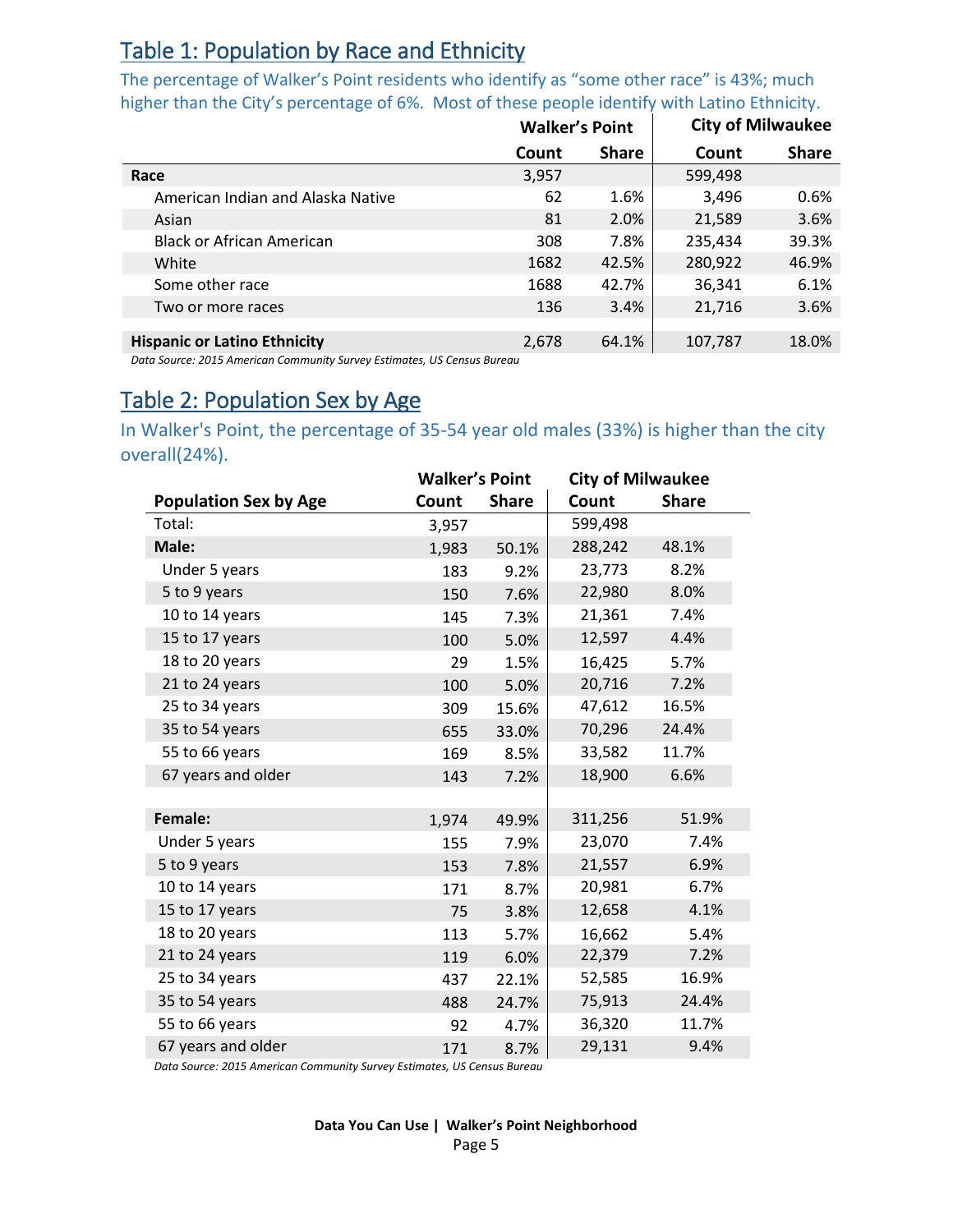## Table 1: Population by Race and Ethnicity

The percentage of Walker's Point residents who identify as "some other race" is 43%; much higher than the City's percentage of 6%. Most of these people identify with Latino Ethnicity.

|                                     | <b>Walker's Point</b> |              | <b>City of Milwaukee</b> |              |
|-------------------------------------|-----------------------|--------------|--------------------------|--------------|
|                                     | Count                 | <b>Share</b> | Count                    | <b>Share</b> |
| Race                                | 3,957                 |              | 599,498                  |              |
| American Indian and Alaska Native   | 62                    | 1.6%         | 3,496                    | 0.6%         |
| Asian                               | 81                    | 2.0%         | 21,589                   | 3.6%         |
| <b>Black or African American</b>    | 308                   | 7.8%         | 235,434                  | 39.3%        |
| White                               | 1682                  | 42.5%        | 280,922                  | 46.9%        |
| Some other race                     | 1688                  | 42.7%        | 36,341                   | 6.1%         |
| Two or more races                   | 136                   | 3.4%         | 21,716                   | 3.6%         |
|                                     |                       |              |                          |              |
| <b>Hispanic or Latino Ethnicity</b> | 2,678                 | 64.1%        | 107,787                  | 18.0%        |

*Data Source: 2015 American Community Survey Estimates, US Census Bureau*

## <span id="page-4-0"></span>Table 2: Population Sex by Age

In Walker's Point, the percentage of 35-54 year old males (33%) is higher than the city overall(24%).

|                              | <b>Walker's Point</b> |              | <b>City of Milwaukee</b> |              |  |
|------------------------------|-----------------------|--------------|--------------------------|--------------|--|
| <b>Population Sex by Age</b> | Count                 | <b>Share</b> | Count                    | <b>Share</b> |  |
| Total:                       | 3,957                 |              | 599,498                  |              |  |
| Male:                        | 1,983                 | 50.1%        | 288,242                  | 48.1%        |  |
| Under 5 years                | 183                   | 9.2%         | 23,773                   | 8.2%         |  |
| 5 to 9 years                 | 150                   | 7.6%         | 22,980                   | 8.0%         |  |
| 10 to 14 years               | 145                   | 7.3%         | 21,361                   | 7.4%         |  |
| 15 to 17 years               | 100                   | 5.0%         | 12,597                   | 4.4%         |  |
| 18 to 20 years               | 29                    | 1.5%         | 16,425                   | 5.7%         |  |
| 21 to 24 years               | 100                   | 5.0%         | 20,716                   | 7.2%         |  |
| 25 to 34 years               | 309                   | 15.6%        | 47,612                   | 16.5%        |  |
| 35 to 54 years               | 655                   | 33.0%        | 70,296                   | 24.4%        |  |
| 55 to 66 years               | 169                   | 8.5%         | 33,582                   | 11.7%        |  |
| 67 years and older           | 143                   | 7.2%         | 18,900                   | 6.6%         |  |
|                              |                       |              |                          |              |  |
| Female:                      | 1,974                 | 49.9%        | 311,256                  | 51.9%        |  |
| Under 5 years                | 155                   | 7.9%         | 23,070                   | 7.4%         |  |
| 5 to 9 years                 | 153                   | 7.8%         | 21,557                   | 6.9%         |  |
| 10 to 14 years               | 171                   | 8.7%         | 20,981                   | 6.7%         |  |
| 15 to 17 years               | 75                    | 3.8%         | 12,658                   | 4.1%         |  |
| 18 to 20 years               | 113                   | 5.7%         | 16,662                   | 5.4%         |  |
| 21 to 24 years               | 119                   | 6.0%         | 22,379                   | 7.2%         |  |
| 25 to 34 years               | 437                   | 22.1%        | 52,585                   | 16.9%        |  |
| 35 to 54 years               | 488                   | 24.7%        | 75,913                   | 24.4%        |  |
| 55 to 66 years               | 92                    | 4.7%         | 36,320                   | 11.7%        |  |
| 67 years and older           | 171                   | 8.7%         | 29,131                   | 9.4%         |  |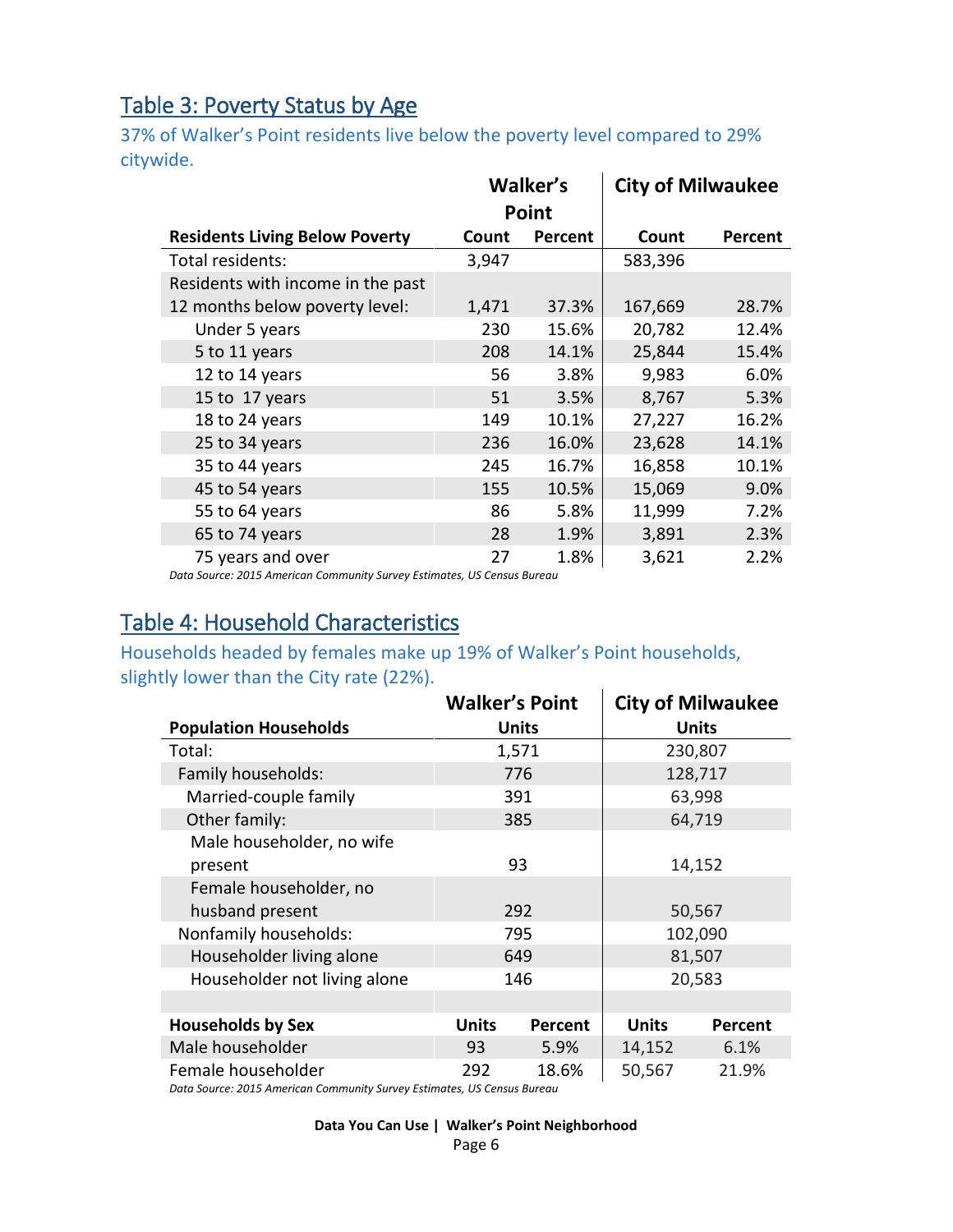## Table 3: Poverty Status by Age

37% of Walker's Point residents live below the poverty level compared to 29% citywide.

|                                       |       | Walker's<br>Point | <b>City of Milwaukee</b> |                |
|---------------------------------------|-------|-------------------|--------------------------|----------------|
| <b>Residents Living Below Poverty</b> | Count | Percent           | Count                    | <b>Percent</b> |
| Total residents:                      | 3,947 |                   | 583,396                  |                |
| Residents with income in the past     |       |                   |                          |                |
| 12 months below poverty level:        | 1,471 | 37.3%             | 167,669                  | 28.7%          |
| Under 5 years                         | 230   | 15.6%             | 20,782                   | 12.4%          |
| 5 to 11 years                         | 208   | 14.1%             | 25,844                   | 15.4%          |
| 12 to 14 years                        | 56    | 3.8%              | 9,983                    | 6.0%           |
| 15 to 17 years                        | 51    | 3.5%              | 8,767                    | 5.3%           |
| 18 to 24 years                        | 149   | 10.1%             | 27,227                   | 16.2%          |
| 25 to 34 years                        | 236   | 16.0%             | 23,628                   | 14.1%          |
| 35 to 44 years                        | 245   | 16.7%             | 16,858                   | 10.1%          |
| 45 to 54 years                        | 155   | 10.5%             | 15,069                   | 9.0%           |
| 55 to 64 years                        | 86    | 5.8%              | 11,999                   | 7.2%           |
| 65 to 74 years                        | 28    | 1.9%              | 3,891                    | 2.3%           |
| 75 years and over                     | 27    | 1.8%              | 3,621                    | 2.2%           |

*Data Source: 2015 American Community Survey Estimates, US Census Bureau*

## Table 4: Household Characteristics

Households headed by females make up 19% of Walker's Point households, slightly lower than the City rate (22%).

|                              | <b>Walker's Point</b> |         |              | <b>City of Milwaukee</b> |  |
|------------------------------|-----------------------|---------|--------------|--------------------------|--|
| <b>Population Households</b> |                       | Units   |              | <b>Units</b>             |  |
| Total:                       |                       | 1,571   |              | 230,807                  |  |
| Family households:           |                       | 776     |              | 128,717                  |  |
| Married-couple family        |                       | 391     |              | 63,998                   |  |
| Other family:                |                       | 385     |              | 64,719                   |  |
| Male householder, no wife    |                       |         |              |                          |  |
| present                      |                       | 93      | 14,152       |                          |  |
| Female householder, no       |                       |         |              |                          |  |
| husband present              |                       | 292     | 50,567       |                          |  |
| Nonfamily households:        |                       | 795     | 102,090      |                          |  |
| Householder living alone     |                       | 649     | 81,507       |                          |  |
| Householder not living alone |                       | 146     |              | 20,583                   |  |
|                              |                       |         |              |                          |  |
| <b>Households by Sex</b>     | <b>Units</b>          | Percent | <b>Units</b> | <b>Percent</b>           |  |
| Male householder             | 93                    | 5.9%    | 14,152       | 6.1%                     |  |
| Female householder           | 292                   | 18.6%   | 50,567       | 21.9%                    |  |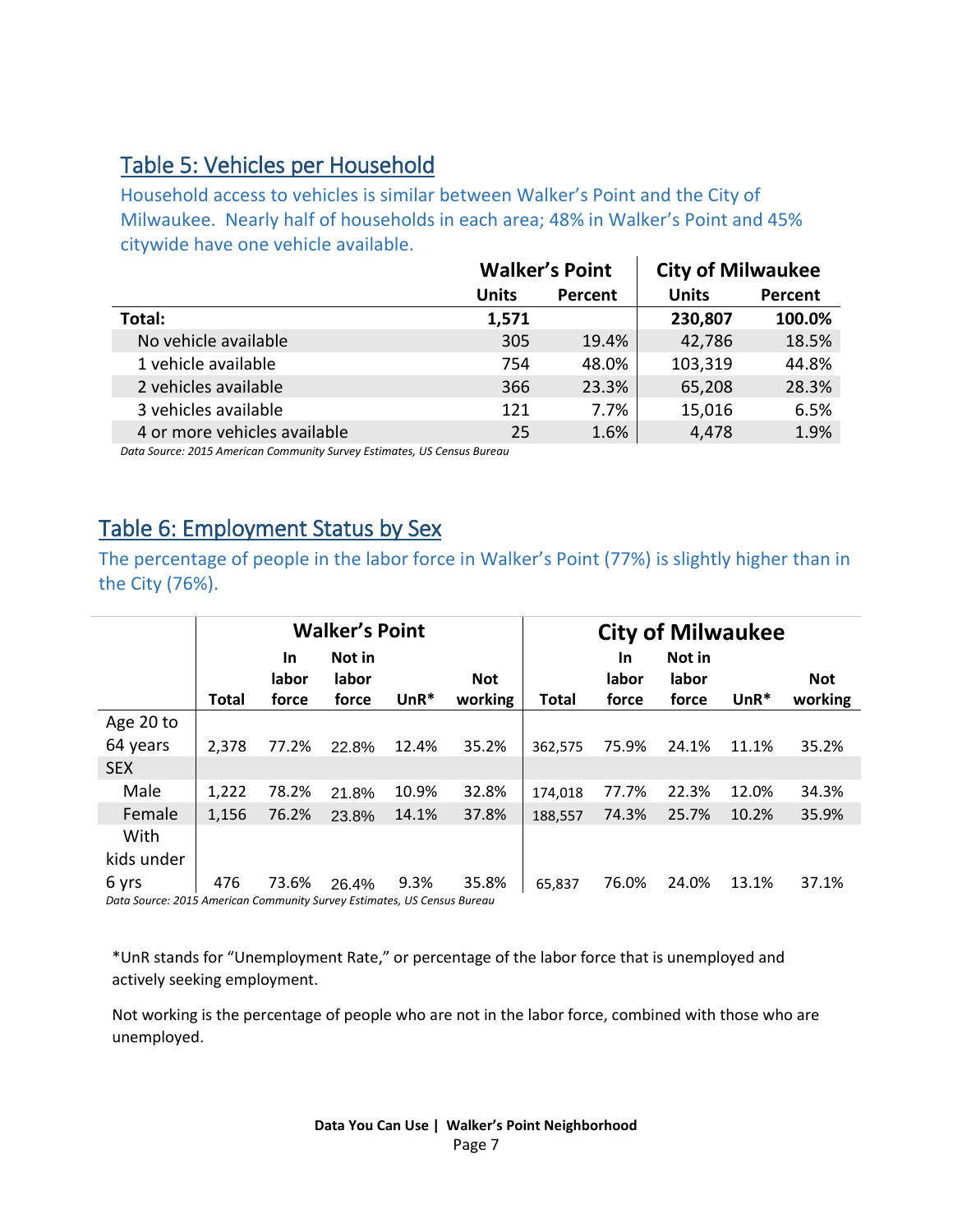### Table 5: Vehicles per Household

Household access to vehicles is similar between Walker's Point and the City of Milwaukee. Nearly half of households in each area; 48% in Walker's Point and 45% citywide have one vehicle available.

|                              |              | <b>Walker's Point</b> | <b>City of Milwaukee</b> |         |
|------------------------------|--------------|-----------------------|--------------------------|---------|
|                              | <b>Units</b> | Percent               | <b>Units</b>             | Percent |
| Total:                       | 1,571        |                       | 230,807                  | 100.0%  |
| No vehicle available         | 305          | 19.4%                 | 42,786                   | 18.5%   |
| 1 vehicle available          | 754          | 48.0%                 | 103,319                  | 44.8%   |
| 2 vehicles available         | 366          | 23.3%                 | 65,208                   | 28.3%   |
| 3 vehicles available         | 121          | 7.7%                  | 15,016                   | 6.5%    |
| 4 or more vehicles available | 25           | 1.6%                  | 4,478                    | 1.9%    |

*Data Source: 2015 American Community Survey Estimates, US Census Bureau*

## Table 6: Employment Status by Sex

The percentage of people in the labor force in Walker's Point (77%) is slightly higher than in the City (76%).

|                                                                          | <b>Walker's Point</b> |           |        |        |            | <b>City of Milwaukee</b> |       |        |        |         |
|--------------------------------------------------------------------------|-----------------------|-----------|--------|--------|------------|--------------------------|-------|--------|--------|---------|
|                                                                          |                       | <b>In</b> | Not in |        |            |                          | In    | Not in |        |         |
|                                                                          |                       | labor     | labor  |        | <b>Not</b> |                          | labor | labor  |        | Not     |
|                                                                          | <b>Total</b>          | force     | force  | $UnR*$ | working    | <b>Total</b>             | force | force  | $UnR*$ | working |
| Age 20 to                                                                |                       |           |        |        |            |                          |       |        |        |         |
| 64 years                                                                 | 2.378                 | 77.2%     | 22.8%  | 12.4%  | 35.2%      | 362,575                  | 75.9% | 24.1%  | 11.1%  | 35.2%   |
| <b>SEX</b>                                                               |                       |           |        |        |            |                          |       |        |        |         |
| Male                                                                     | 1,222                 | 78.2%     | 21.8%  | 10.9%  | 32.8%      | 174,018                  | 77.7% | 22.3%  | 12.0%  | 34.3%   |
| Female                                                                   | 1,156                 | 76.2%     | 23.8%  | 14.1%  | 37.8%      | 188,557                  | 74.3% | 25.7%  | 10.2%  | 35.9%   |
| With                                                                     |                       |           |        |        |            |                          |       |        |        |         |
| kids under                                                               |                       |           |        |        |            |                          |       |        |        |         |
| 6 yrs                                                                    | 476                   | 73.6%     | 26.4%  | 9.3%   | 35.8%      | 65,837                   | 76.0% | 24.0%  | 13.1%  | 37.1%   |
| Data Source: 2015, American Community Survey Estimates, US Census Russau |                       |           |        |        |            |                          |       |        |        |         |

*Data Source: 2015 American Community Survey Estimates, US Census Bureau*

\*UnR stands for "Unemployment Rate," or percentage of the labor force that is unemployed and actively seeking employment.

Not working is the percentage of people who are not in the labor force, combined with those who are unemployed.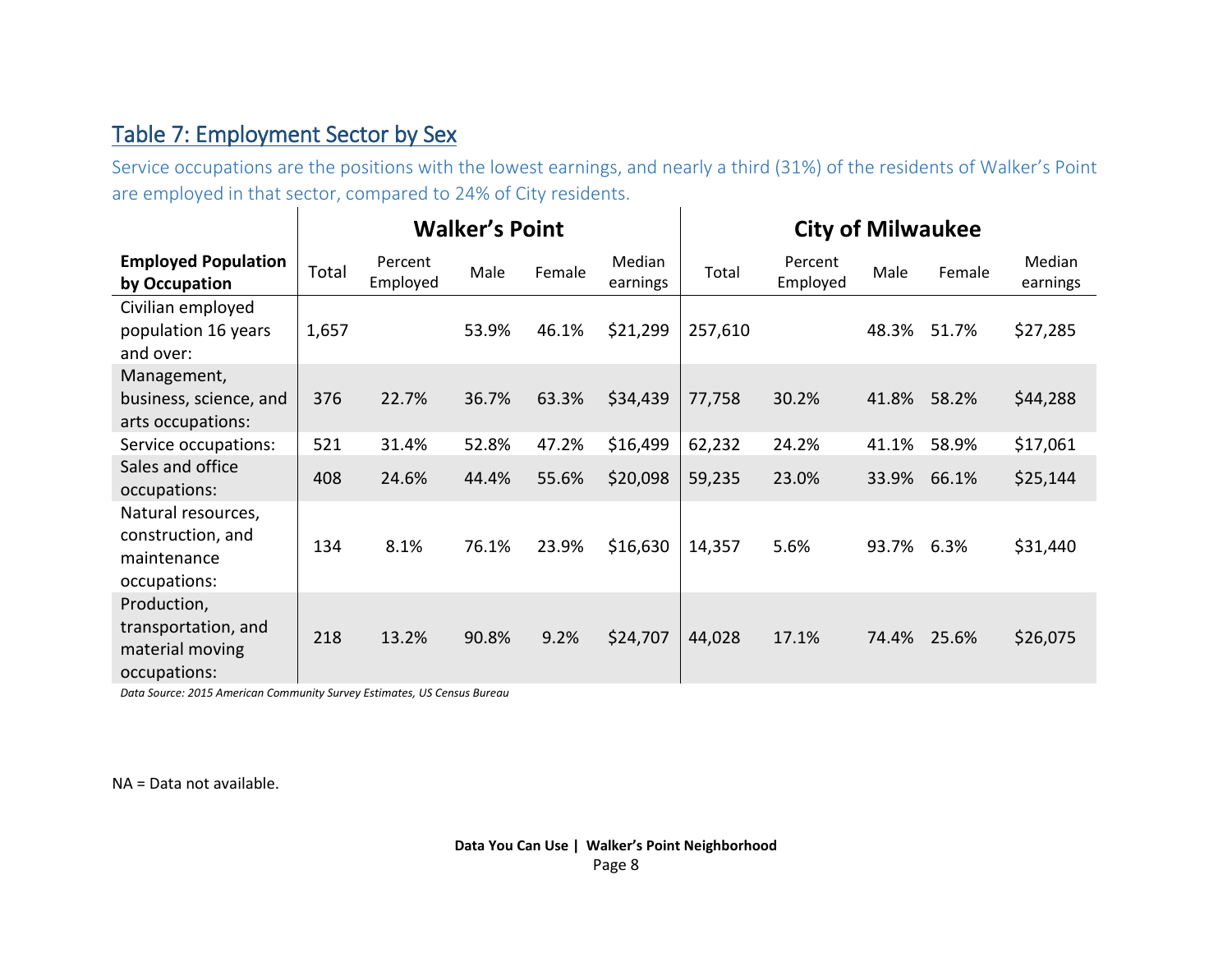## Table 7: Employment Sector by Sex

Service occupations are the positions with the lowest earnings, and nearly a third (31%) of the residents of Walker's Point are employed in that sector, compared to 24% of City residents.  $\overline{1}$ 

|                                                                        | <b>Walker's Point</b> |                     |       |        |                    | <b>City of Milwaukee</b> |                     |       |        |                    |
|------------------------------------------------------------------------|-----------------------|---------------------|-------|--------|--------------------|--------------------------|---------------------|-------|--------|--------------------|
| <b>Employed Population</b><br>by Occupation                            | Total                 | Percent<br>Employed | Male  | Female | Median<br>earnings | Total                    | Percent<br>Employed | Male  | Female | Median<br>earnings |
| Civilian employed<br>population 16 years<br>and over:                  | 1,657                 |                     | 53.9% | 46.1%  | \$21,299           | 257,610                  |                     | 48.3% | 51.7%  | \$27,285           |
| Management,                                                            |                       |                     |       |        |                    |                          |                     |       |        |                    |
| business, science, and<br>arts occupations:                            | 376                   | 22.7%               | 36.7% | 63.3%  | \$34,439           | 77,758                   | 30.2%               | 41.8% | 58.2%  | \$44,288           |
| Service occupations:                                                   | 521                   | 31.4%               | 52.8% | 47.2%  | \$16,499           | 62,232                   | 24.2%               | 41.1% | 58.9%  | \$17,061           |
| Sales and office<br>occupations:                                       | 408                   | 24.6%               | 44.4% | 55.6%  | \$20,098           | 59,235                   | 23.0%               | 33.9% | 66.1%  | \$25,144           |
| Natural resources,<br>construction, and<br>maintenance<br>occupations: | 134                   | 8.1%                | 76.1% | 23.9%  | \$16,630           | 14,357                   | 5.6%                | 93.7% | 6.3%   | \$31,440           |
| Production,<br>transportation, and<br>material moving<br>occupations:  | 218                   | 13.2%               | 90.8% | 9.2%   | \$24,707           | 44,028                   | 17.1%               | 74.4% | 25.6%  | \$26,075           |

*Data Source: 2015 American Community Survey Estimates, US Census Bureau*

NA = Data not available.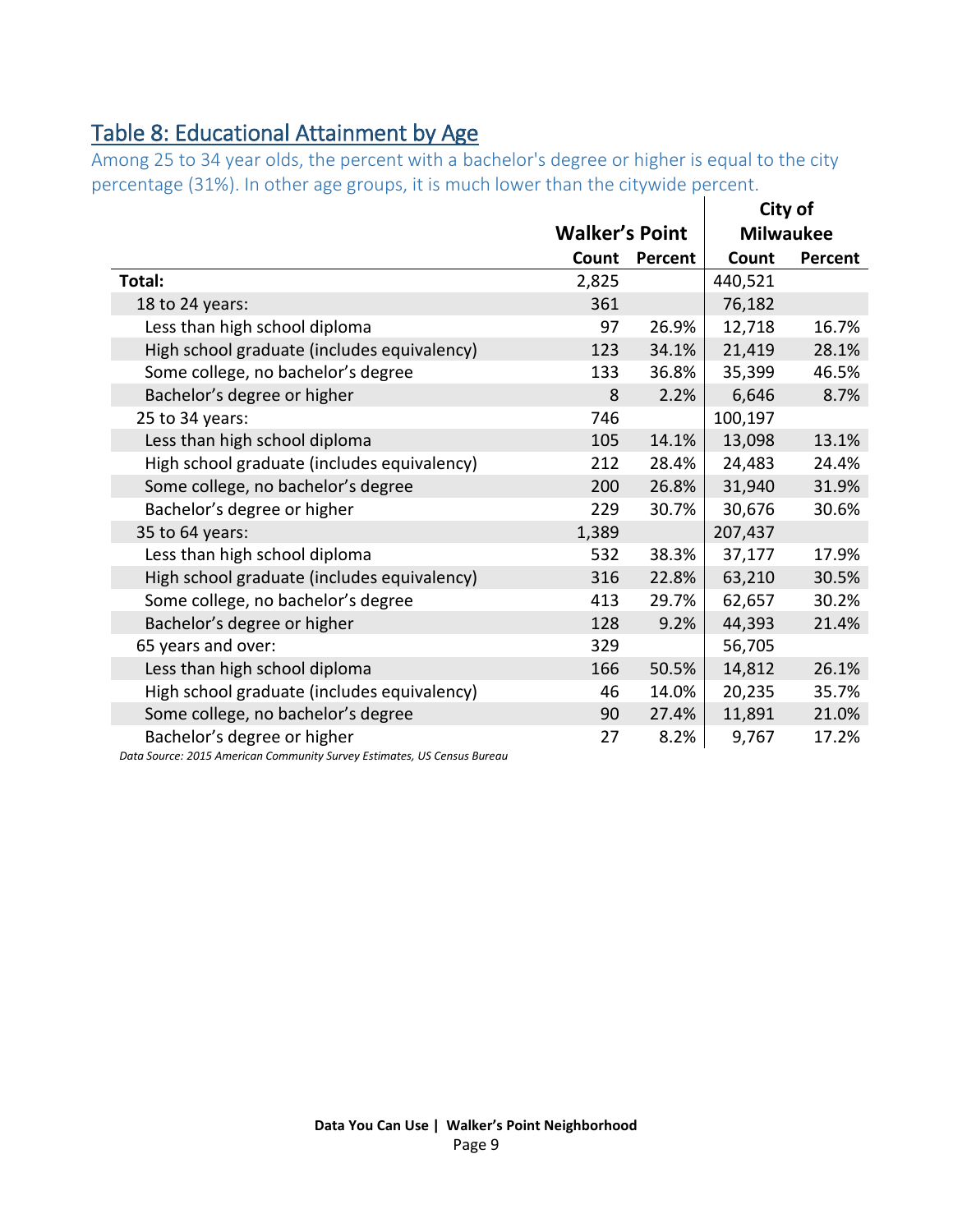## <span id="page-8-0"></span>Table 8: Educational Attainment by Age

Among 25 to 34 year olds, the percent with a bachelor's degree or higher is equal to the city percentage (31%). In other age groups, it is much lower than the citywide percent.

|                                             |                       |         |         | City of          |
|---------------------------------------------|-----------------------|---------|---------|------------------|
|                                             | <b>Walker's Point</b> |         |         | <b>Milwaukee</b> |
|                                             | Count                 | Percent | Count   | Percent          |
| Total:                                      | 2,825                 |         | 440,521 |                  |
| 18 to 24 years:                             | 361                   |         | 76,182  |                  |
| Less than high school diploma               | 97                    | 26.9%   | 12,718  | 16.7%            |
| High school graduate (includes equivalency) | 123                   | 34.1%   | 21,419  | 28.1%            |
| Some college, no bachelor's degree          | 133                   | 36.8%   | 35,399  | 46.5%            |
| Bachelor's degree or higher                 | 8                     | 2.2%    | 6,646   | 8.7%             |
| 25 to 34 years:                             | 746                   |         | 100,197 |                  |
| Less than high school diploma               | 105                   | 14.1%   | 13,098  | 13.1%            |
| High school graduate (includes equivalency) | 212                   | 28.4%   | 24,483  | 24.4%            |
| Some college, no bachelor's degree          | 200                   | 26.8%   | 31,940  | 31.9%            |
| Bachelor's degree or higher                 | 229                   | 30.7%   | 30,676  | 30.6%            |
| 35 to 64 years:                             | 1,389                 |         | 207,437 |                  |
| Less than high school diploma               | 532                   | 38.3%   | 37,177  | 17.9%            |
| High school graduate (includes equivalency) | 316                   | 22.8%   | 63,210  | 30.5%            |
| Some college, no bachelor's degree          | 413                   | 29.7%   | 62,657  | 30.2%            |
| Bachelor's degree or higher                 | 128                   | 9.2%    | 44,393  | 21.4%            |
| 65 years and over:                          | 329                   |         | 56,705  |                  |
| Less than high school diploma               | 166                   | 50.5%   | 14,812  | 26.1%            |
| High school graduate (includes equivalency) | 46                    | 14.0%   | 20,235  | 35.7%            |
| Some college, no bachelor's degree          | 90                    | 27.4%   | 11,891  | 21.0%            |
| Bachelor's degree or higher                 | 27                    | 8.2%    | 9,767   | 17.2%            |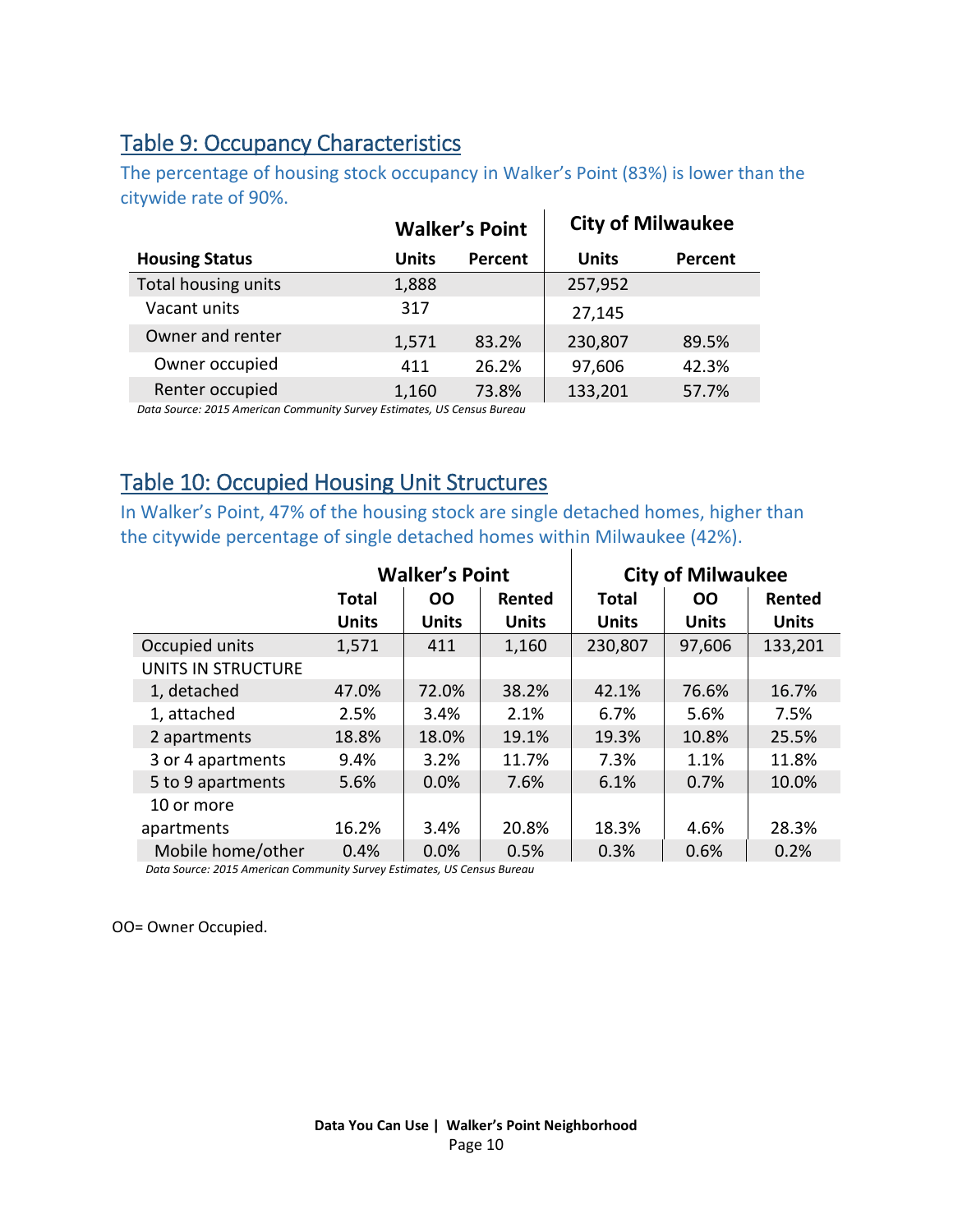## <span id="page-9-1"></span>Table 9: Occupancy Characteristics

The percentage of housing stock occupancy in Walker's Point (83%) is lower than the citywide rate of 90%.

|                       |       | <b>Walker's Point</b> |              | <b>City of Milwaukee</b> |
|-----------------------|-------|-----------------------|--------------|--------------------------|
| <b>Housing Status</b> | Units | Percent               | <b>Units</b> | Percent                  |
| Total housing units   | 1,888 |                       | 257,952      |                          |
| Vacant units          | 317   |                       | 27,145       |                          |
| Owner and renter      | 1,571 | 83.2%                 | 230,807      | 89.5%                    |
| Owner occupied        | 411   | 26.2%                 | 97,606       | 42.3%                    |
| Renter occupied       | 1,160 | 73.8%                 | 133,201      | 57.7%                    |

*Data Source: 2015 American Community Survey Estimates, US Census Bureau*

## <span id="page-9-0"></span>Table 10: Occupied Housing Unit Structures

In Walker's Point, 47% of the housing stock are single detached homes, higher than the citywide percentage of single detached homes within Milwaukee (42%).

|                    |              | <b>Walker's Point</b> |              |              | <b>City of Milwaukee</b> |              |
|--------------------|--------------|-----------------------|--------------|--------------|--------------------------|--------------|
|                    | <b>Total</b> | <b>OO</b>             | Rented       | <b>Total</b> | 00                       | Rented       |
|                    | <b>Units</b> | <b>Units</b>          | <b>Units</b> | <b>Units</b> | <b>Units</b>             | <b>Units</b> |
| Occupied units     | 1,571        | 411                   | 1,160        | 230,807      | 97,606                   | 133,201      |
| UNITS IN STRUCTURE |              |                       |              |              |                          |              |
| 1, detached        | 47.0%        | 72.0%                 | 38.2%        | 42.1%        | 76.6%                    | 16.7%        |
| 1, attached        | 2.5%         | 3.4%                  | 2.1%         | 6.7%         | 5.6%                     | 7.5%         |
| 2 apartments       | 18.8%        | 18.0%                 | 19.1%        | 19.3%        | 10.8%                    | 25.5%        |
| 3 or 4 apartments  | 9.4%         | 3.2%                  | 11.7%        | 7.3%         | 1.1%                     | 11.8%        |
| 5 to 9 apartments  | 5.6%         | 0.0%                  | 7.6%         | 6.1%         | 0.7%                     | 10.0%        |
| 10 or more         |              |                       |              |              |                          |              |
| apartments         | 16.2%        | 3.4%                  | 20.8%        | 18.3%        | 4.6%                     | 28.3%        |
| Mobile home/other  | 0.4%         | 0.0%                  | 0.5%         | 0.3%         | 0.6%                     | 0.2%         |

*Data Source: 2015 American Community Survey Estimates, US Census Bureau*

OO= Owner Occupied.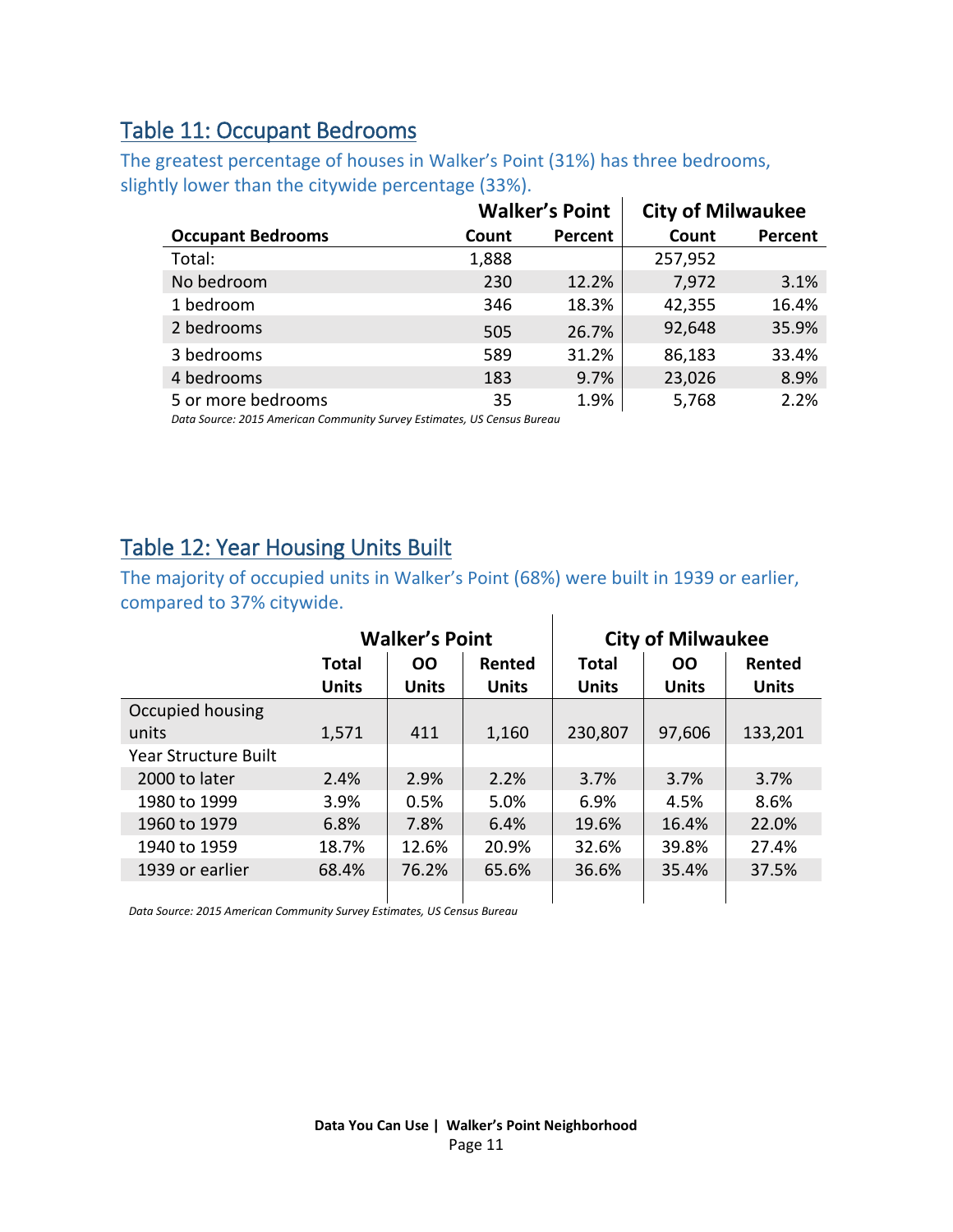## <span id="page-10-0"></span>Table 11: Occupant Bedrooms

The greatest percentage of houses in Walker's Point (31%) has three bedrooms, slightly lower than the citywide percentage (33%).

|                          |       | <b>Walker's Point</b> | <b>City of Milwaukee</b> |         |
|--------------------------|-------|-----------------------|--------------------------|---------|
| <b>Occupant Bedrooms</b> | Count | Percent               | Count                    | Percent |
| Total:                   | 1,888 |                       | 257,952                  |         |
| No bedroom               | 230   | 12.2%                 | 7,972                    | 3.1%    |
| 1 bedroom                | 346   | 18.3%                 | 42,355                   | 16.4%   |
| 2 bedrooms               | 505   | 26.7%                 | 92,648                   | 35.9%   |
| 3 bedrooms               | 589   | 31.2%                 | 86,183                   | 33.4%   |
| 4 bedrooms               | 183   | 9.7%                  | 23,026                   | 8.9%    |
| 5 or more bedrooms       | 35    | 1.9%                  | 5,768                    | 2.2%    |

*Data Source: 2015 American Community Survey Estimates, US Census Bureau*

## <span id="page-10-1"></span>Table 12: Year Housing Units Built

The majority of occupied units in Walker's Point (68%) were built in 1939 or earlier, compared to 37% citywide.  $\mathbf{I}$ 

|                             | <b>Walker's Point</b> |              |              | <b>City of Milwaukee</b> |              |              |
|-----------------------------|-----------------------|--------------|--------------|--------------------------|--------------|--------------|
|                             | <b>Total</b>          | <b>OO</b>    | Rented       | <b>Total</b>             | <b>OO</b>    | Rented       |
|                             | <b>Units</b>          | <b>Units</b> | <b>Units</b> | <b>Units</b>             | <b>Units</b> | <b>Units</b> |
| Occupied housing            |                       |              |              |                          |              |              |
| units                       | 1,571                 | 411          | 1,160        | 230,807                  | 97,606       | 133,201      |
| <b>Year Structure Built</b> |                       |              |              |                          |              |              |
| 2000 to later               | 2.4%                  | 2.9%         | 2.2%         | 3.7%                     | 3.7%         | 3.7%         |
| 1980 to 1999                | 3.9%                  | 0.5%         | 5.0%         | 6.9%                     | 4.5%         | 8.6%         |
| 1960 to 1979                | 6.8%                  | 7.8%         | 6.4%         | 19.6%                    | 16.4%        | 22.0%        |
| 1940 to 1959                | 18.7%                 | 12.6%        | 20.9%        | 32.6%                    | 39.8%        | 27.4%        |
| 1939 or earlier             | 68.4%                 | 76.2%        | 65.6%        | 36.6%                    | 35.4%        | 37.5%        |
|                             |                       |              |              |                          |              |              |

 $\mathbf{I}$  $\mathbf{I}$ *Data Source: 2015 American Community Survey Estimates, US Census Bureau*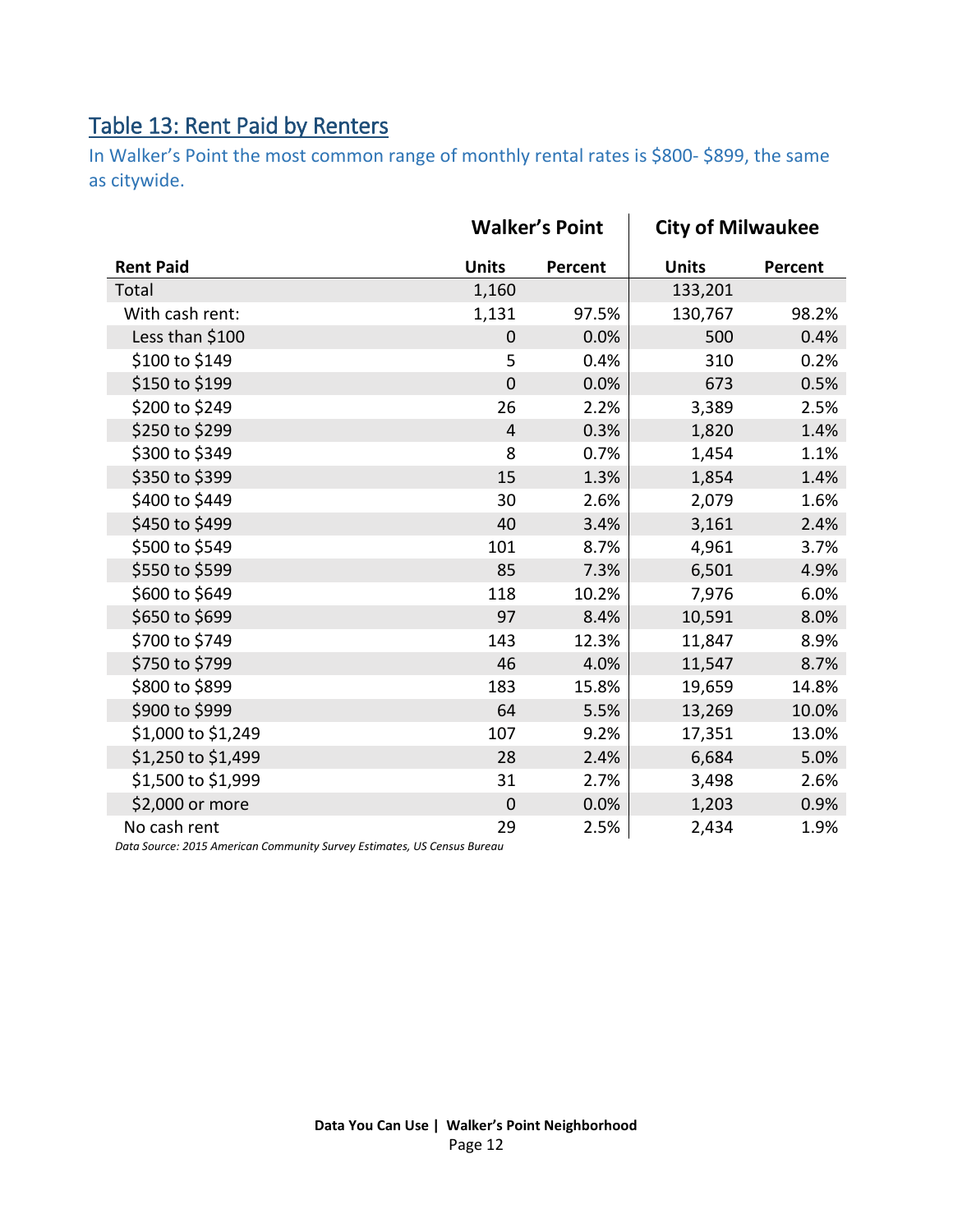## <span id="page-11-0"></span>Table 13: Rent Paid by Renters

In Walker's Point the most common range of monthly rental rates is \$800- \$899, the same as citywide.

|                    | <b>Walker's Point</b> |         | <b>City of Milwaukee</b> |         |
|--------------------|-----------------------|---------|--------------------------|---------|
| <b>Rent Paid</b>   | <b>Units</b>          | Percent | <b>Units</b>             | Percent |
| Total              | 1,160                 |         | 133,201                  |         |
| With cash rent:    | 1,131                 | 97.5%   | 130,767                  | 98.2%   |
| Less than \$100    | $\overline{0}$        | 0.0%    | 500                      | 0.4%    |
| \$100 to \$149     | 5                     | 0.4%    | 310                      | 0.2%    |
| \$150 to \$199     | $\mathbf 0$           | 0.0%    | 673                      | 0.5%    |
| \$200 to \$249     | 26                    | 2.2%    | 3,389                    | 2.5%    |
| \$250 to \$299     | $\overline{4}$        | 0.3%    | 1,820                    | 1.4%    |
| \$300 to \$349     | 8                     | 0.7%    | 1,454                    | 1.1%    |
| \$350 to \$399     | 15                    | 1.3%    | 1,854                    | 1.4%    |
| \$400 to \$449     | 30                    | 2.6%    | 2,079                    | 1.6%    |
| \$450 to \$499     | 40                    | 3.4%    | 3,161                    | 2.4%    |
| \$500 to \$549     | 101                   | 8.7%    | 4,961                    | 3.7%    |
| \$550 to \$599     | 85                    | 7.3%    | 6,501                    | 4.9%    |
| \$600 to \$649     | 118                   | 10.2%   | 7,976                    | 6.0%    |
| \$650 to \$699     | 97                    | 8.4%    | 10,591                   | 8.0%    |
| \$700 to \$749     | 143                   | 12.3%   | 11,847                   | 8.9%    |
| \$750 to \$799     | 46                    | 4.0%    | 11,547                   | 8.7%    |
| \$800 to \$899     | 183                   | 15.8%   | 19,659                   | 14.8%   |
| \$900 to \$999     | 64                    | 5.5%    | 13,269                   | 10.0%   |
| \$1,000 to \$1,249 | 107                   | 9.2%    | 17,351                   | 13.0%   |
| \$1,250 to \$1,499 | 28                    | 2.4%    | 6,684                    | 5.0%    |
| \$1,500 to \$1,999 | 31                    | 2.7%    | 3,498                    | 2.6%    |
| \$2,000 or more    | $\mathbf 0$           | 0.0%    | 1,203                    | 0.9%    |
| No cash rent       | 29                    | 2.5%    | 2,434                    | 1.9%    |